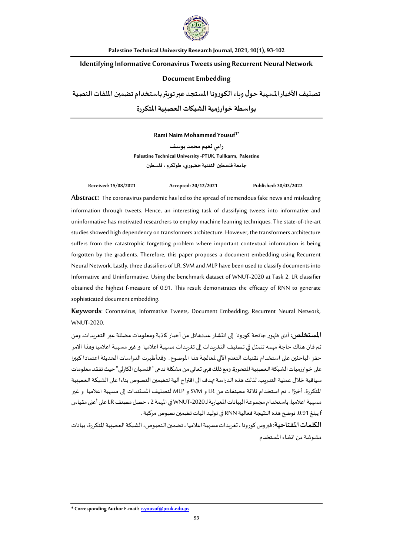

**Palestine Technical University Research Journal, 2021, 10(1), 93-102**

# **Identifying Informative Coronavirus Tweets using Recurrent Neural Network**

# **Document Embedding**

**تصنيف األخباراملسهبة حول وباءالكورونا املستجد عبرتويترباستخدام تضمين امللفاتالنصية بواسطة خوارزميةالشبكاتالعصبيةاملتكررة**

**Rami Naim Mohammed Yousuf<sup>1</sup>\***

**رامي نعيم محمد يوسف Palestine Technical University -PTUK, Tullkarm, Palestine جامعةفلسطين التقنية خضوري، طولكرم ،فلسطين**

**Received: 15/08/2021 Accepted: 20/12/2021 Published: 30/03/2022**

**Abstract:** The coronavirus pandemic has led to the spread of tremendous fake news and misleading information through tweets. Hence, an interesting task of classifying tweets into informative and uninformative has motivated researchers to employ machine learning techniques. The state-of-the-art studies showed high dependency on transformers architecture. However, the transformers architecture suffers from the catastrophic forgetting problem where important contextual information is being forgotten by the gradients. Therefore, this paper proposes a document embedding using Recurrent Neural Network. Lastly, three classifiers of LR, SVM and MLP have been used to classify documents into Informative and Uninformative. Using the benchmark dataset of WNUT-2020 at Task 2, LR classifier obtained the highest f-measure of 0.91. This result demonstrates the efficacy of RNN to generate sophisticated document embedding.

**Keywords**: Coronavirus, Informative Tweets, Document Embedding, Recurrent Neural Network, WNUT-2020.

**المستخلص:** أدى ظهور جائحة كورونا إلى انتشار عددهائل من أخبار كاذبة ومعلومات مضللة عبر التغريدات. ومن ثم فان هناك حاجة مهمه تتمثل في تصنيف التغريدات إلى تغريدات مسهبة اعالميا و غير مسهبة اعالميا وهذا االمر حفز الباحثين على استخدام تقنيات التعلم الآلي لمعالجة هذا الموضوع . وقدأظهرت الدراسات الحديثة اعتمادا كبيرا على خوارزميات الشبكة العصبية المتحورة. ومع ذلك فهي تعاني من مشكلة تدعى "النسيان الكارثي" حيث تفقد معلومات سياقية خلال عملية التدريب. لذلك هذه الدراسة تهدف الى اقتراح آلية لتضمين النصوص بناءا على الشبكة العصبية **ً** المتكررة. أخيرًا ، تم استخدام ثلاثة مصنفات من LR و SVM و MLP لتصنيف المستندات إلى مسهبة اعلاميا و غير مسهبة اعلاميا. باستخدام مجموعة البيانات المعيارية لـ WNUT-2020 في المهمة 2 ، حصل مصنف LR على أعلى مقياس f يبلغ .0.91 توضح هذه النتيجة فعالية RNN في توليد اليات تضمين نصوص مركبة .

ا**لكلمات المفتاحية**: فيروس كورونا ، تغريدات م*س*هبة اعلاميا ، تضمين النصوص، الشبكة العصبية المتكررة، بيانات مشوشة من انشاء املستخدم

**\* Corresponding AuthorE-mail: [r.yousuf@ptuk.edu.ps](mailto:r.yousuf@ptuk.edu.ps)**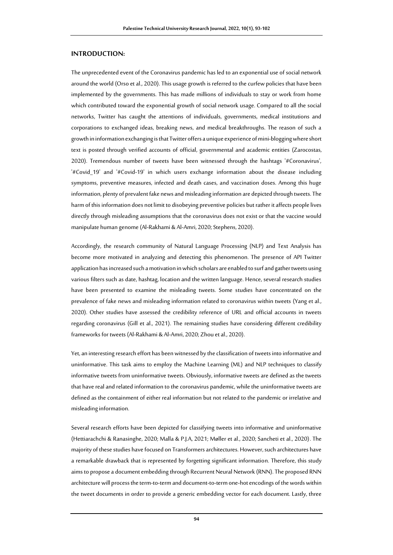## **INTRODUCTION:**

The unprecedented event of the Coronavirus pandemic has led to an exponential use of social network around the world (Orso et al., 2020). This usage growth is referred to the curfew policies that have been implemented by the governments. This has made millions of individuals to stay or work from home which contributed toward the exponential growth of social network usage. Compared to all the social networks, Twitter has caught the attentions of individuals, governments, medical institutions and corporations to exchanged ideas, breaking news, and medical breakthroughs. The reason of such a growth in information exchanging is that Twitter offers a unique experience of mini-blogging where short text is posted through verified accounts of official, governmental and academic entities (Zarocostas, 2020). Tremendous number of tweets have been witnessed through the hashtags '#Coronavirus', '#Covid\_19' and '#Covid-19' in which users exchange information about the disease including symptoms, preventive measures, infected and death cases, and vaccination doses. Among this huge information, plenty of prevalent fake news and misleading information are depicted through tweets. The harm of this information does not limit to disobeying preventive policies but rather it affects people lives directly through misleading assumptions that the coronavirus does not exist or that the vaccine would manipulate human genome (Al-Rakhami & Al-Amri, 2020; Stephens, 2020).

Accordingly, the research community of Natural Language Processing (NLP) and Text Analysis has become more motivated in analyzing and detecting this phenomenon. The presence of API Twitter application has increased such a motivation in which scholars are enabled to surf and gather tweets using various filters such as date, hashtag, location and the written language. Hence, several research studies have been presented to examine the misleading tweets. Some studies have concentrated on the prevalence of fake news and misleading information related to coronavirus within tweets (Yang et al., 2020). Other studies have assessed the credibility reference of URL and official accounts in tweets regarding coronavirus (Gill et al., 2021). The remaining studies have considering different credibility frameworks for tweets (Al-Rakhami & Al-Amri, 2020; Zhou et al., 2020).

Yet, an interesting research effort has been witnessed by the classification of tweets into informative and uninformative. This task aims to employ the Machine Learning (ML) and NLP techniques to classify informative tweets from uninformative tweets. Obviously, informative tweets are defined as the tweets that have real and related information to the coronavirus pandemic, while the uninformative tweets are defined as the containment of either real information but not related to the pandemic or irrelative and misleading information.

Several research efforts have been depicted for classifying tweets into informative and uninformative (Hettiarachchi & Ranasinghe, 2020; Malla & P.J.A, 2021; Møller et al., 2020; Sancheti et al., 2020). The majority of these studies have focused on Transformers architectures. However, such architectures have a remarkable drawback that is represented by forgetting significant information. Therefore, this study aims to propose a document embedding through Recurrent Neural Network (RNN). The proposed RNN architecture will process the term-to-term and document-to-term one-hot encodings of the words within the tweet documents in order to provide a generic embedding vector for each document. Lastly, three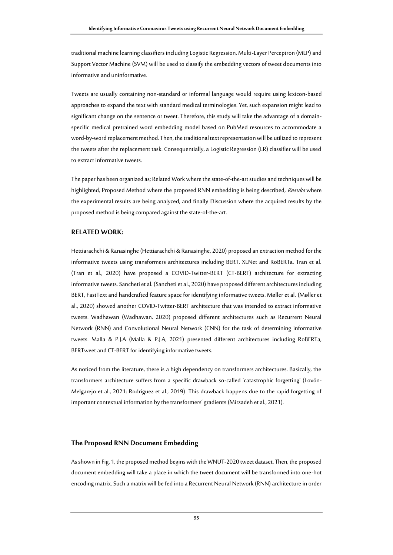traditional machine learning classifiers including Logistic Regression, Multi-Layer Perceptron (MLP) and Support Vector Machine (SVM) will be used to classify the embedding vectors of tweet documents into informative and uninformative.

Tweets are usually containing non-standard or informal language would require using lexicon-based approaches to expand the text with standard medical terminologies. Yet, such expansion might lead to significant change on the sentence or tweet. Therefore, this study will take the advantage of a domainspecific medical pretrained word embedding model based on PubMed resources to accommodate a word-by-word replacement method. Then, the traditional text representation will be utilized to represent the tweets after the replacement task. Consequentially, a Logistic Regression (LR) classifier will be used to extract informative tweets.

The paper has been organized as; Related Work where the state-of-the-art studies and techniques will be highlighted, Proposed Method where the proposed RNN embedding is being described, Results where the experimental results are being analyzed, and finally Discussion where the acquired results by the proposed method is being compared against the state-of-the-art.

### **RELATED WORK:**

Hettiarachchi & Ranasinghe (Hettiarachchi & Ranasinghe, 2020) proposed an extraction method for the informative tweets using transformers architectures including BERT, XLNet and RoBERTa. Tran et al. (Tran et al., 2020) have proposed a COVID-Twitter-BERT (CT-BERT) architecture for extracting informative tweets. Sancheti et al. (Sancheti et al., 2020) have proposed different architectures including BERT, FastText and handcrafted feature space for identifying informative tweets. Møller et al. (Møller et al., 2020) showed another COVID-Twitter-BERT architecture that was intended to extract informative tweets. Wadhawan (Wadhawan, 2020) proposed different architectures such as Recurrent Neural Network (RNN) and Convolutional Neural Network (CNN) for the task of determining informative tweets. Malla & P.J.A (Malla & P.J.A, 2021) presented different architectures including RoBERTa, BERTweet and CT-BERT for identifying informative tweets.

As noticed from the literature, there is a high dependency on transformers architectures. Basically, the transformers architecture suffers from a specific drawback so-called 'catastrophic forgetting' (Lovón-Melgarejo et al., 2021; Rodriguez et al., 2019). This drawback happens due to the rapid forgetting of important contextual information by the transformers' gradients (Mirzadeh et al., 2021).

### **The Proposed RNN Document Embedding**

As shown in Fig. 1, the proposed method begins with the WNUT-2020 tweet dataset. Then, the proposed document embedding will take a place in which the tweet document will be transformed into one-hot encoding matrix. Such a matrix will be fed into a Recurrent Neural Network (RNN) architecture in order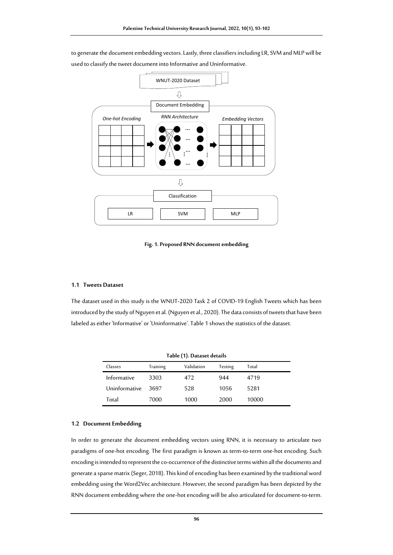WNUT-2020 Dataset 具 Document Embedding *RNN Architecture Embedding Vectors One-hot Encoding* … … …… : ۱ … … …  $\overline{v}$ Classification LR SVM MLP

to generate the document embedding vectors. Lastly, three classifiers including LR, SVM and MLP will be used to classify the tweet document into Informative and Uninformative.

#### **Fig. 1. Proposed RNN document embedding**

#### **1.1 Tweets Dataset**

The dataset used in this study is the WNUT-2020 Task 2 of COVID-19 English Tweets which has been introduced by the study of Nguyen et al. (Nguyen et al., 2020). The data consists of tweets that have been labeled as either 'Informative' or 'Uninformative'. Table 1 shows the statistics of the dataset.

| Table (1). Dataset details |          |            |         |       |
|----------------------------|----------|------------|---------|-------|
| Classes                    | Training | Validation | Testing | Total |
| Informative                | 3303     | 472        | 944     | 4719  |
| Uninformative              | 3697     | 528        | 1056    | 5281  |
| Total                      | 7000     | 1000       | 2000    | 10000 |

#### **1.2 Document Embedding**

In order to generate the document embedding vectors using RNN, it is necessary to articulate two paradigms of one-hot encoding. The first paradigm is known as term-to-term one-hot encoding. Such encoding is intended to represent the co-occurrence of the distinctive terms within all the documents and generate a sparse matrix (Seger, 2018). This kind of encoding has been examined by the traditional word embedding using the Word2Vec architecture. However, the second paradigm has been depicted by the RNN document embedding where the one-hot encoding will be also articulated for document-to-term.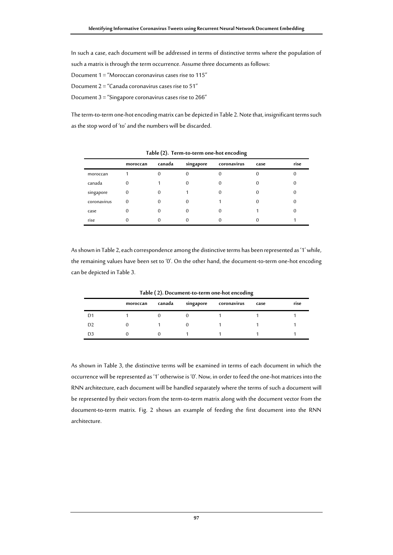In such a case, each document will be addressed in terms of distinctive terms where the population of such a matrix is through the term occurrence. Assume three documents as follows: Document 1 = "Moroccan coronavirus cases rise to 115"

Document  $2 =$  "Canada coronavirus cases rise to 51"

Document 3 = "Singapore coronavirus cases rise to 266"

The term-to-term one-hot encoding matrix can be depicted in Table 2. Note that, insignificant terms such as the stop word of 'to' and the numbers will be discarded.

|             | moroccan | canada | singapore | coronavirus | case | rise |
|-------------|----------|--------|-----------|-------------|------|------|
| moroccan    |          |        | 0         |             |      |      |
| canada      | 0        |        |           |             |      |      |
| singapore   | 0        |        |           |             |      |      |
| coronavirus | 0        |        | O         |             |      |      |
| case        | O        |        |           |             |      |      |
| rise        |          |        |           |             |      |      |

**Table (2). Term-to-term one-hot encoding**

As shown in Table 2, each correspondence among the distinctive terms has been represented as '1' while, the remaining values have been set to '0'. On the other hand, the document-to-term one-hot encoding can be depicted in Table 3.

**Table ( 2). Document-to-term one-hot encoding**

|                | . .      |        |           | . .         |      |      |  |
|----------------|----------|--------|-----------|-------------|------|------|--|
|                | moroccan | canada | singapore | coronavirus | case | rise |  |
| D1             |          |        |           |             |      |      |  |
| D <sub>2</sub> |          |        |           |             |      |      |  |
| D3             |          |        |           |             |      |      |  |

As shown in Table 3, the distinctive terms will be examined in terms of each document in which the occurrence will be represented as '1' otherwise is '0'. Now, in order to feed the one-hot matrices into the RNN architecture, each document will be handled separately where the terms of such a document will be represented by their vectors from the term-to-term matrix along with the document vector from the document-to-term matrix. Fig. 2 shows an example of feeding the first document into the RNN architecture.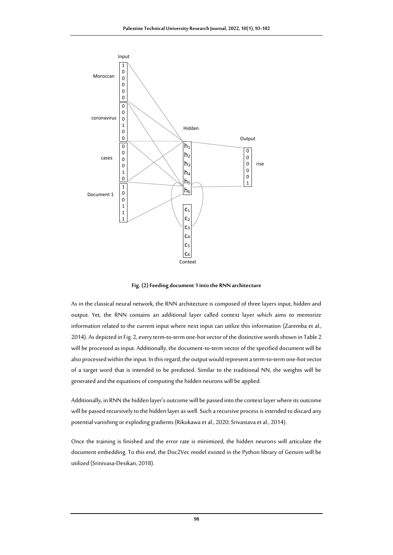

**Fig. (2)Feeding document 1 into the RNN architecture**

As in the classical neural network, the RNN architecture is composed of three layers input, hidden and output. Yet, the RNN contains an additional layer called context layer which aims to memorize information related to the current input where next input can utilize this information (Zaremba et al., 2014). As depicted in Fig. 2, every term-to-term one-hot vector of the distinctive words shown in Table 2 will be processed as input. Additionally, the document-to-term vector of the specified document will be also processed within the input. In this regard, the output would represent a term-to-term one-hot vector of a target word that is intended to be predicted. Similar to the traditional NN, the weights will be generated and the equations of computing the hidden neurons will be applied.

Additionally, in RNN the hidden layer's outcome will be passed into the context layer where its outcome will be passed recursively to the hidden layer as well. Such a recursive process is intended to discard any potential vanishing or exploding gradients (Rikukawa et al., 2020; Srivastava et al., 2014).

Once the training is finished and the error rate is minimized, the hidden neurons will articulate the document embedding. To this end, the Doc2Vec model existed in the Python library of Gensim will be utilized (Srinivasa-Desikan, 2018).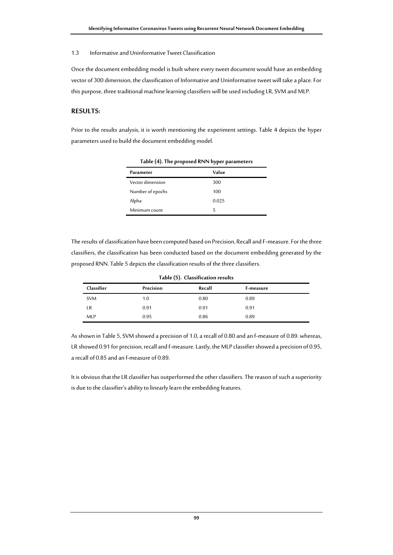### 1.3 Informative and Uninformative Tweet Classification

Once the document embedding model is built where every tweet document would have an embedding vector of 300 dimension, the classification of Informative and Uninformative tweet will take a place. For this purpose, three traditional machine learning classifiers will be used including LR, SVM and MLP.

# **RESULTS:**

Prior to the results analysis, it is worth mentioning the experiment settings. Table 4 depicts the hyper parameters used to build the document embedding model.

|                  | $\overline{\phantom{a}}$ |
|------------------|--------------------------|
| Parameter        | Value                    |
| Vector dimension | 300                      |
| Number of epochs | 100                      |
| Alpha            | 0.025                    |
| Minimum count    | 5                        |

**Table (4). The proposed RNN hyper parameters**

The results of classification have been computed based on Precision, Recall and F-measure. For the three classifiers, the classification has been conducted based on the document embedding generated by the proposed RNN. Table 5 depicts the classification results of the three classifiers.

| Table (5). Classification results |           |        |           |  |
|-----------------------------------|-----------|--------|-----------|--|
| Classifier                        | Precision | Recall | F-measure |  |
| <b>SVM</b>                        | 1.0       | 0.80   | 0.89      |  |
| LR                                | 0.91      | 0.91   | 0.91      |  |
| <b>MLP</b>                        | 0.95      | 0.86   | 0.89      |  |

As shown in Table 5, SVM showed a precision of 1.0, a recall of 0.80 and an f-measure of 0.89. whereas, LR showed 0.91 for precision, recall and f-measure. Lastly, the MLP classifier showed a precision of 0.95, a recall of 0.85 and an f-measure of 0.89.

It is obvious that the LR classifier has outperformed the other classifiers. The reason of such a superiority is due to the classifier's ability to linearly learn the embedding features.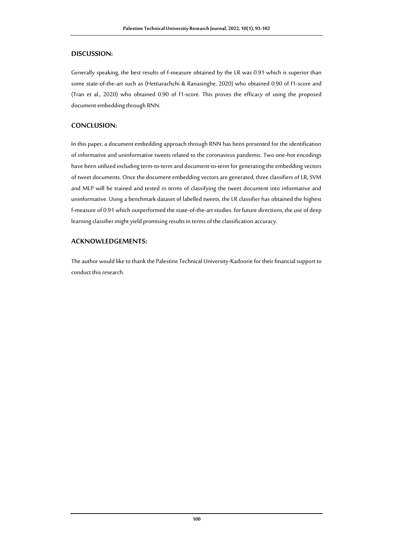# **DISCUSSION:**

Generally speaking, the best results of f-measure obtained by the LR was 0.91 which is superior than some state-of-the-art such as (Hettiarachchi & Ranasinghe, 2020) who obtained 0.90 of f1-score and (Tran et al., 2020) who obtained 0.90 of f1-score. This proves the efficacy of using the proposed document embedding through RNN.

# **CONCLUSION:**

In this paper, a document embedding approach through RNN has been presented for the identification of informative and uninformative tweets related to the coronavirus pandemic. Two one-hot encodings have been utilized including term-to-term and document-to-term for generating the embedding vectors of tweet documents. Once the document embedding vectors are generated, three classifiers of LR, SVM and MLP will be trained and tested in terms of classifying the tweet document into informative and uninformative. Using a benchmark dataset of labelled tweets, the LR classifier has obtained the highest f-measure of 0.91 which outperformed the state-of-the-art studies. for future directions, the use of deep learning classifier might yield promising results in terms of the classification accuracy.

# **ACKNOWLEDGEMENTS:**

The author would like to thank the Palestine Technical University-Kadoorie for their financial support to conduct this research.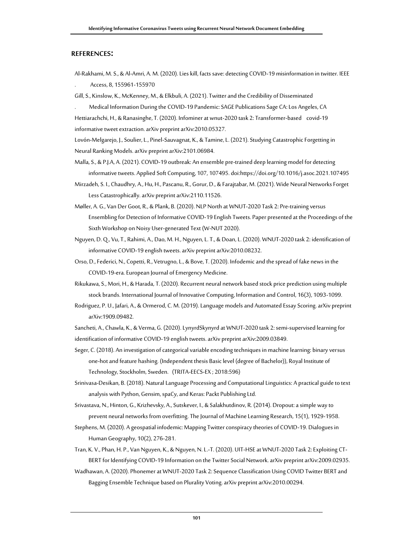## **REFERENCES:**

Al-Rakhami, M. S., & Al-Amri, A. M. (2020). Lies kill, facts save: detecting COVID-19 misinformation in twitter. IEEE . Access, 8, 155961-155970

Gill, S., Kinslow, K., McKenney, M., & Elkbuli, A. (2021). Twitter and the Credibility of Disseminated

. Medical Information During the COVID-19 Pandemic: SAGE Publications Sage CA: Los Angeles, CA Hettiarachchi, H., & Ranasinghe, T. (2020). Infominer at wnut-2020 task 2: Transformer-based covid-19 informative tweet extraction. arXiv preprint arXiv:2010.05327.

Lovón-Melgarejo, J., Soulier, L., Pinel-Sauvagnat, K., & Tamine, L. (2021). Studying Catastrophic Forgetting in Neural Ranking Models. arXiv preprint arXiv:2101.06984.

- Malla, S., & P.J.A, A. (2021). COVID-19 outbreak: An ensemble pre-trained deep learning model for detecting informative tweets. Applied Soft Computing, 107, 107495. do[i:https://doi.org/10.1016/j.asoc.2021.107495](https://doi.org/10.1016/j.asoc.2021.107495)
- Mirzadeh, S. I., Chaudhry, A., Hu, H., Pascanu, R., Gorur, D., & Farajtabar, M. (2021). Wide Neural Networks Forget Less Catastrophically. arXiv preprint arXiv:2110.11526.
- Møller, A. G., Van Der Goot, R., & Plank, B. (2020). NLP North at WNUT-2020 Task 2: Pre-training versus Ensembling for Detection of Informative COVID-19 English Tweets. Paper presented at the Proceedings of the Sixth Workshop on Noisy User-generated Text (W-NUT 2020).
- Nguyen, D. Q., Vu, T., Rahimi, A., Dao, M. H., Nguyen, L. T., & Doan, L. (2020). WNUT-2020 task 2: identification of informative COVID-19 english tweets. arXiv preprint arXiv:2010.08232.
- Orso, D., Federici, N., Copetti, R., Vetrugno, L., & Bove, T. (2020). Infodemicand the spread of fake news in the COVID-19-era. European Journal of Emergency Medicine.
- Rikukawa, S., Mori, H., & Harada, T. (2020). Recurrent neural network based stock price prediction using multiple stock brands. International Journal of Innovative Computing, Information and Control, 16(3), 1093-1099.
- Rodriguez, P. U., Jafari, A., & Ormerod, C. M. (2019). Language models and Automated Essay Scoring. arXiv preprint arXiv:1909.09482.

Sancheti, A., Chawla, K., & Verma, G. (2020). LynyrdSkynyrd at WNUT-2020 task 2: semi-supervised learning for identification of informative COVID-19 english tweets. arXiv preprint arXiv:2009.03849.

- Seger, C. (2018). An investigation of categorical variable encoding techniques in machine learning: binary versus one-hot and feature hashing. (Independent thesis Basic level (degree of Bachelor)), Royal Institute of Technology, Stockholm, Sweden. (TRITA-EECS-EX ; 2018:596)
- Srinivasa-Desikan, B. (2018). Natural Language Processing and Computational Linguistics: A practical guide to text analysis with Python, Gensim, spaCy, and Keras: Packt Publishing Ltd.
- Srivastava, N., Hinton, G., Krizhevsky, A., Sutskever, I., & Salakhutdinov, R. (2014). Dropout: a simple way to prevent neural networks from overfitting. The Journal of Machine Learning Research, 15(1), 1929-1958.
- Stephens, M. (2020). A geospatial infodemic: Mapping Twitter conspiracy theories of COVID-19. Dialogues in Human Geography, 10(2), 276-281.
- Tran, K. V., Phan, H. P., Van Nguyen, K., & Nguyen, N. L.-T. (2020). UIT-HSE at WNUT-2020 Task 2: Exploiting CT-BERT for Identifying COVID-19 Information on the Twitter Social Network. arXiv preprint arXiv:2009.02935.
- Wadhawan, A. (2020). Phonemerat WNUT-2020 Task 2: Sequence Classification Using COVID Twitter BERT and Bagging Ensemble Technique based on Plurality Voting. arXiv preprint arXiv:2010.00294.